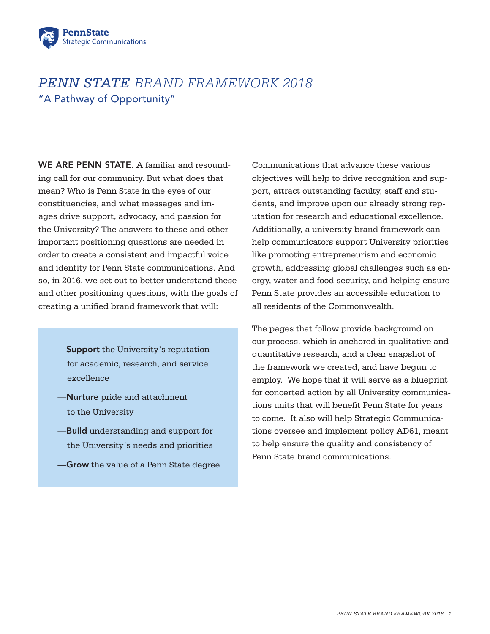

# *PENN STATE BRAND FRAMEWORK 2018* "A Pathway of Opportunity"

WE ARE PENN STATE. A familiar and resounding call for our community. But what does that mean? Who is Penn State in the eyes of our constituencies, and what messages and images drive support, advocacy, and passion for the University? The answers to these and other important positioning questions are needed in order to create a consistent and impactful voice and identity for Penn State communications. And so, in 2016, we set out to better understand these and other positioning questions, with the goals of creating a unified brand framework that will:

- —Support the University's reputation for academic, research, and service excellence
- —Nurture pride and attachment to the University
- **-Build** understanding and support for the University's needs and priorities
- —Grow the value of a Penn State degree

Communications that advance these various objectives will help to drive recognition and support, attract outstanding faculty, staff and students, and improve upon our already strong reputation for research and educational excellence. Additionally, a university brand framework can help communicators support University priorities like promoting entrepreneurism and economic growth, addressing global challenges such as energy, water and food security, and helping ensure Penn State provides an accessible education to all residents of the Commonwealth.

The pages that follow provide background on our process, which is anchored in qualitative and quantitative research, and a clear snapshot of the framework we created, and have begun to employ. We hope that it will serve as a blueprint for concerted action by all University communications units that will benefit Penn State for years to come. It also will help Strategic Communications oversee and implement policy AD61, meant to help ensure the quality and consistency of Penn State brand communications.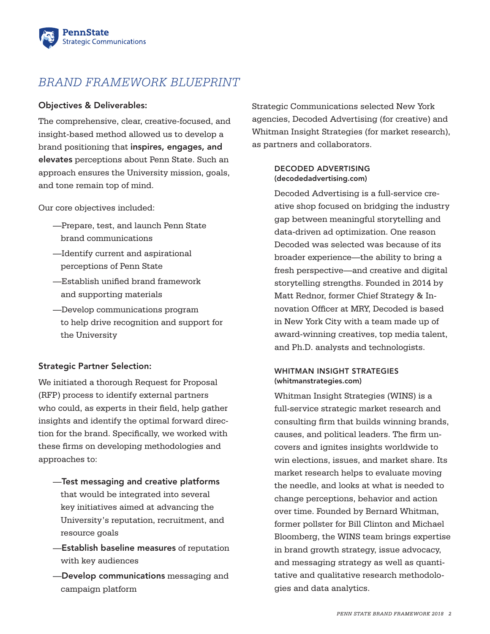

# *BRAND FRAMEWORK BLUEPRINT*

## Objectives & Deliverables:

The comprehensive, clear, creative-focused, and insight-based method allowed us to develop a brand positioning that inspires, engages, and elevates perceptions about Penn State. Such an approach ensures the University mission, goals, and tone remain top of mind.

Our core objectives included:

- —Prepare, test, and launch Penn State brand communications
- —Identify current and aspirational perceptions of Penn State
- —Establish unified brand framework and supporting materials
- —Develop communications program to help drive recognition and support for the University

### Strategic Partner Selection:

We initiated a thorough Request for Proposal (RFP) process to identify external partners who could, as experts in their field, help gather insights and identify the optimal forward direction for the brand. Specifically, we worked with these firms on developing methodologies and approaches to:

- —Test messaging and creative platforms that would be integrated into several key initiatives aimed at advancing the University's reputation, recruitment, and resource goals
- —Establish baseline measures of reputation with key audiences
- —Develop communications messaging and campaign platform

Strategic Communications selected New York agencies, Decoded Advertising (for creative) and Whitman Insight Strategies (for market research), as partners and collaborators.

#### DECODED ADVERTISING ([decodedadvertising.com\)](http://decodedadvertising.com)

Decoded Advertising is a full-service creative shop focused on bridging the industry gap between meaningful storytelling and data-driven ad optimization. One reason Decoded was selected was because of its broader experience—the ability to bring a fresh perspective—and creative and digital storytelling strengths. Founded in 2014 by Matt Rednor, former Chief Strategy & Innovation Officer at MRY, Decoded is based in New York City with a team made up of award-winning creatives, top media talent, and Ph.D. analysts and technologists.

### WHITMAN INSIGHT STRATEGIES ([whitmanstrategies.com](http://whitmanstrategies.com))

Whitman Insight Strategies (WINS) is a full-service strategic market research and consulting firm that builds winning brands, causes, and political leaders. The firm uncovers and ignites insights worldwide to win elections, issues, and market share. Its market research helps to evaluate moving the needle, and looks at what is needed to change perceptions, behavior and action over time. Founded by Bernard Whitman, former pollster for Bill Clinton and Michael Bloomberg, the WINS team brings expertise in brand growth strategy, issue advocacy, and messaging strategy as well as quantitative and qualitative research methodologies and data analytics.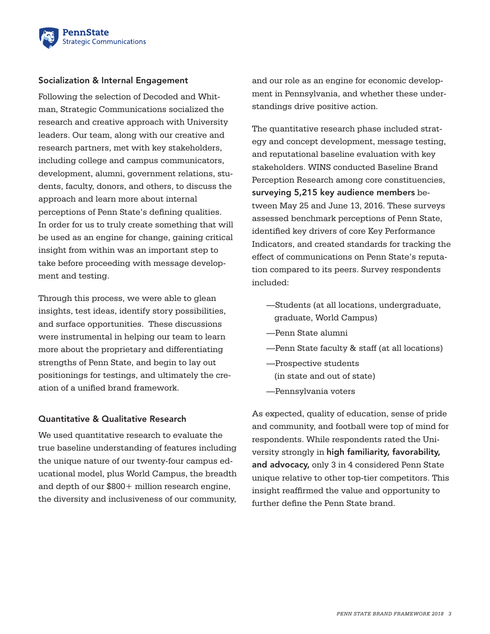

### Socialization & Internal Engagement

Following the selection of Decoded and Whitman, Strategic Communications socialized the research and creative approach with University leaders. Our team, along with our creative and research partners, met with key stakeholders, including college and campus communicators, development, alumni, government relations, students, faculty, donors, and others, to discuss the approach and learn more about internal perceptions of Penn State's defining qualities. In order for us to truly create something that will be used as an engine for change, gaining critical insight from within was an important step to take before proceeding with message development and testing.

Through this process, we were able to glean insights, test ideas, identify story possibilities, and surface opportunities. These discussions were instrumental in helping our team to learn more about the proprietary and differentiating strengths of Penn State, and begin to lay out positionings for testings, and ultimately the creation of a unified brand framework.

### Quantitative & Qualitative Research

We used quantitative research to evaluate the true baseline understanding of features including the unique nature of our twenty-four campus educational model, plus World Campus, the breadth and depth of our \$800+ million research engine, the diversity and inclusiveness of our community, and our role as an engine for economic development in Pennsylvania, and whether these understandings drive positive action.

The quantitative research phase included strategy and concept development, message testing, and reputational baseline evaluation with key stakeholders. WINS conducted Baseline Brand Perception Research among core constituencies, surveying 5,215 key audience members between May 25 and June 13, 2016. These surveys assessed benchmark perceptions of Penn State, identified key drivers of core Key Performance Indicators, and created standards for tracking the effect of communications on Penn State's reputation compared to its peers. Survey respondents included:

- —Students (at all locations, undergraduate, graduate, World Campus)
- —Penn State alumni
- —Penn State faculty & staff (at all locations)
- —Prospective students (in state and out of state)
- —Pennsylvania voters

As expected, quality of education, sense of pride and community, and football were top of mind for respondents. While respondents rated the University strongly in high familiarity, favorability, and advocacy, only 3 in 4 considered Penn State unique relative to other top-tier competitors. This insight reaffirmed the value and opportunity to further define the Penn State brand.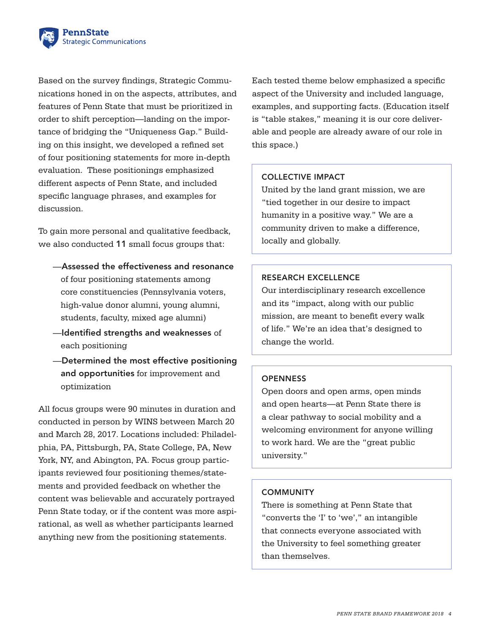

Based on the survey findings, Strategic Communications honed in on the aspects, attributes, and features of Penn State that must be prioritized in order to shift perception—landing on the importance of bridging the "Uniqueness Gap." Building on this insight, we developed a refined set of four positioning statements for more in-depth evaluation. These positionings emphasized different aspects of Penn State, and included specific language phrases, and examples for discussion.

To gain more personal and qualitative feedback, we also conducted 11 small focus groups that:

- —Assessed the effectiveness and resonance of four positioning statements among core constituencies (Pennsylvania voters, high-value donor alumni, young alumni, students, faculty, mixed age alumni)
- —Identified strengths and weaknesses of each positioning
- —Determined the most effective positioning and opportunities for improvement and optimization

All focus groups were 90 minutes in duration and conducted in person by WINS between March 20 and March 28, 2017. Locations included: Philadelphia, PA, Pittsburgh, PA, State College, PA, New York, NY, and Abington, PA. Focus group participants reviewed four positioning themes/statements and provided feedback on whether the content was believable and accurately portrayed Penn State today, or if the content was more aspirational, as well as whether participants learned anything new from the positioning statements.

Each tested theme below emphasized a specific aspect of the University and included language, examples, and supporting facts. (Education itself is "table stakes," meaning it is our core deliverable and people are already aware of our role in this space.)

## COLLECTIVE IMPACT

United by the land grant mission, we are "tied together in our desire to impact humanity in a positive way." We are a community driven to make a difference, locally and globally.

### RESEARCH EXCELLENCE

Our interdisciplinary research excellence and its "impact, along with our public mission, are meant to benefit every walk of life." We're an idea that's designed to change the world.

### **OPENNESS**

Open doors and open arms, open minds and open hearts—at Penn State there is a clear pathway to social mobility and a welcoming environment for anyone willing to work hard. We are the "great public university."

#### **COMMUNITY**

There is something at Penn State that "converts the 'I' to 'we'," an intangible that connects everyone associated with the University to feel something greater than themselves.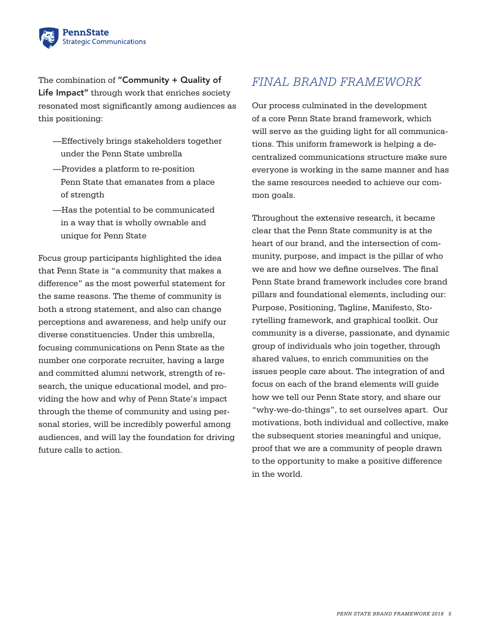

The combination of "Community + Quality of Life Impact" through work that enriches society resonated most significantly among audiences as this positioning:

- —Effectively brings stakeholders together under the Penn State umbrella
- —Provides a platform to re-position Penn State that emanates from a place of strength
- —Has the potential to be communicated in a way that is wholly ownable and unique for Penn State

Focus group participants highlighted the idea that Penn State is "a community that makes a difference" as the most powerful statement for the same reasons. The theme of community is both a strong statement, and also can change perceptions and awareness, and help unify our diverse constituencies. Under this umbrella, focusing communications on Penn State as the number one corporate recruiter, having a large and committed alumni network, strength of research, the unique educational model, and providing the how and why of Penn State's impact through the theme of community and using personal stories, will be incredibly powerful among audiences, and will lay the foundation for driving future calls to action.

## *FINAL BRAND FRAMEWORK*

Our process culminated in the development of a core Penn State brand framework, which will serve as the guiding light for all communications. This uniform framework is helping a decentralized communications structure make sure everyone is working in the same manner and has the same resources needed to achieve our common goals.

Throughout the extensive research, it became clear that the Penn State community is at the heart of our brand, and the intersection of community, purpose, and impact is the pillar of who we are and how we define ourselves. The final Penn State brand framework includes core brand pillars and foundational elements, including our: Purpose, Positioning, Tagline, Manifesto, Storytelling framework, and graphical toolkit. Our community is a diverse, passionate, and dynamic group of individuals who join together, through shared values, to enrich communities on the issues people care about. The integration of and focus on each of the brand elements will guide how we tell our Penn State story, and share our "why-we-do-things", to set ourselves apart. Our motivations, both individual and collective, make the subsequent stories meaningful and unique, proof that we are a community of people drawn to the opportunity to make a positive difference in the world.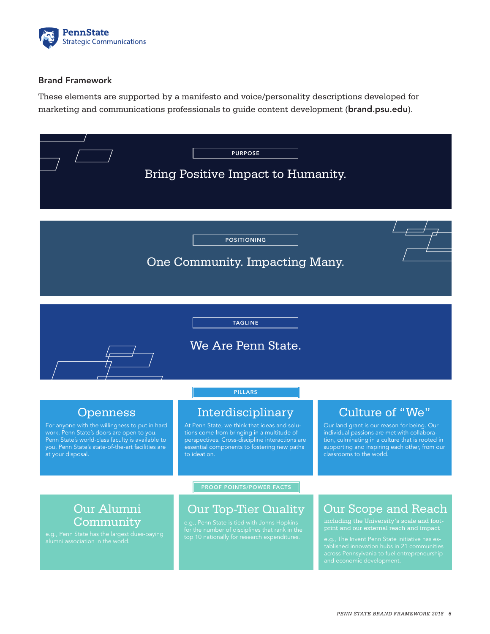

## Brand Framework

These elements are supported by a manifesto and voice/personality descriptions developed for marketing and communications professionals to guide content development ([brand.psu.edu](http://brand.psu.edu)).

| <b>PURPOSE</b><br>Bring Positive Impact to Humanity.                                                                                                                                                                                         |                                                                                                                                                                                                                                                     |                                                                                                                                                                                                                                                                                                   |
|----------------------------------------------------------------------------------------------------------------------------------------------------------------------------------------------------------------------------------------------|-----------------------------------------------------------------------------------------------------------------------------------------------------------------------------------------------------------------------------------------------------|---------------------------------------------------------------------------------------------------------------------------------------------------------------------------------------------------------------------------------------------------------------------------------------------------|
| <b>POSITIONING</b><br>One Community. Impacting Many.                                                                                                                                                                                         |                                                                                                                                                                                                                                                     |                                                                                                                                                                                                                                                                                                   |
| <b>TAGLINE</b><br>We Are Penn State.                                                                                                                                                                                                         |                                                                                                                                                                                                                                                     |                                                                                                                                                                                                                                                                                                   |
| <b>Openness</b><br>For anyone with the willingness to put in hard<br>work, Penn State's doors are open to you.<br>Penn State's world-class faculty is available to<br>you. Penn State's state-of-the-art facilities are<br>at your disposal. | <b>PILLARS</b><br>Interdisciplinary<br>At Penn State, we think that ideas and solu-<br>tions come from bringing in a multitude of<br>perspectives. Cross-discipline interactions are<br>essential components to fostering new paths<br>to ideation. | Culture of "We"<br>Our land grant is our reason for being. Our<br>individual passions are met with collabora-<br>tion, culminating in a culture that is rooted in<br>supporting and inspiring each other, from our<br>classrooms to the world.                                                    |
| Our Alumni<br>Community<br>e.g., Penn State has the largest dues-paying<br>alumni association in the world.                                                                                                                                  | <b>PROOF POINTS/POWER FACTS</b><br><b>Our Top-Tier Quality</b><br>e.g., Penn State is tied with Johns Hopkins<br>for the number of disciplines that rank in the<br>top 10 nationally for research expenditures.                                     | <b>Our Scope and Reach</b><br>including the University's scale and foot-<br>print and our external reach and impact<br>e.g., The Invent Penn State initiative has es-<br>tablished innovation hubs in 21 communities<br>across Pennsylvania to fuel entrepreneurship<br>and economic development. |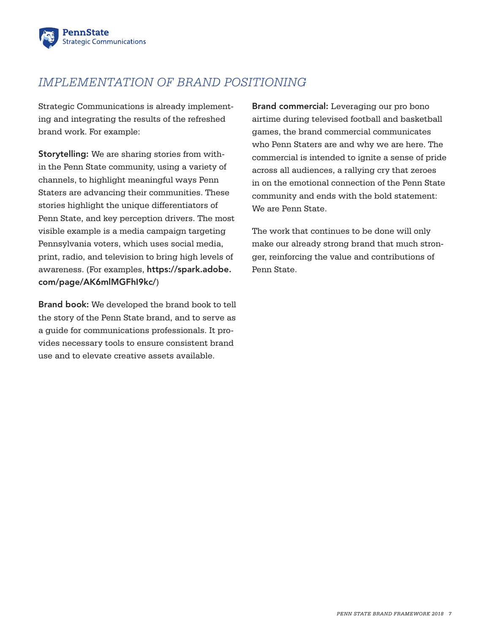

# *IMPLEMENTATION OF BRAND POSITIONING*

Strategic Communications is already implementing and integrating the results of the refreshed brand work. For example:

Storytelling: We are sharing stories from within the Penn State community, using a variety of channels, to highlight meaningful ways Penn Staters are advancing their communities. These stories highlight the unique differentiators of Penn State, and key perception drivers. The most visible example is a media campaign targeting Pennsylvania voters, which uses social media, print, radio, and television to bring high levels of awareness. (For examples, [https://spark.adobe.](https://spark.adobe.com/page/AK6mlMGFhI9kc/) [com/page/AK6mlMGFhI9kc/](https://spark.adobe.com/page/AK6mlMGFhI9kc/))

Brand book: We developed the brand book to tell the story of the Penn State brand, and to serve as a guide for communications professionals. It provides necessary tools to ensure consistent brand use and to elevate creative assets available.

Brand commercial: Leveraging our pro bono airtime during televised football and basketball games, the brand commercial communicates who Penn Staters are and why we are here. The commercial is intended to ignite a sense of pride across all audiences, a rallying cry that zeroes in on the emotional connection of the Penn State community and ends with the bold statement: We are Penn State.

The work that continues to be done will only make our already strong brand that much stronger, reinforcing the value and contributions of Penn State.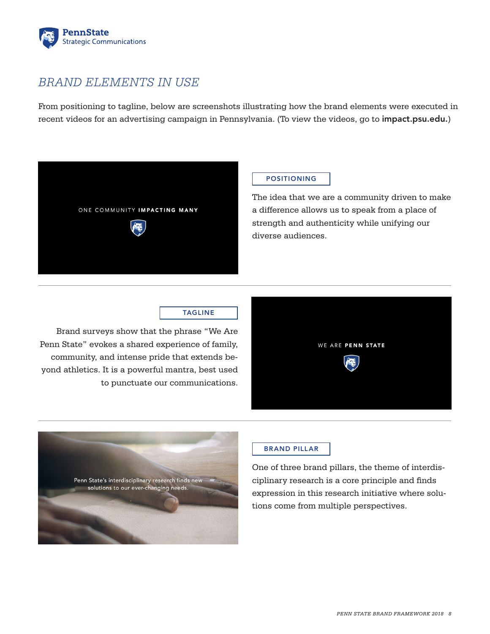

## *BRAND ELEMENTS IN USE*

From positioning to tagline, below are screenshots illustrating how the brand elements were executed in recent videos for an advertising campaign in Pennsylvania. (To view the videos, go to [impact.psu.edu](http://impact.psu.edu).)



## POSITIONING

The idea that we are a community driven to make a difference allows us to speak from a place of strength and authenticity while unifying our diverse audiences.

## TAGLINE

Brand surveys show that the phrase "We Are Penn State" evokes a shared experience of family, community, and intense pride that extends beyond athletics. It is a powerful mantra, best used to punctuate our communications.





## BRAND PILLAR

One of three brand pillars, the theme of interdisciplinary research is a core principle and finds expression in this research initiative where solutions come from multiple perspectives.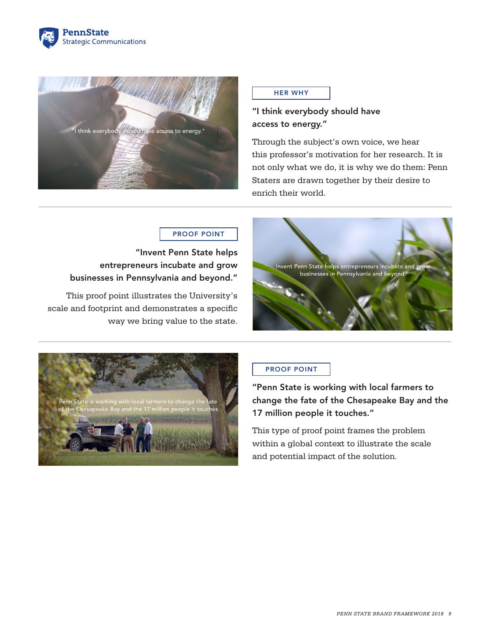



#### HER WHY

## "I think everybody should have access to energy."

Through the subject's own voice, we hear this professor's motivation for her research. It is not only what we do, it is why we do them: Penn Staters are drawn together by their desire to enrich their world.

## PROOF POINT

"Invent Penn State helps entrepreneurs incubate and grow businesses in Pennsylvania and beyond."

This proof point illustrates the University's scale and footprint and demonstrates a specific way we bring value to the state.





## PROOF POINT

"Penn State is working with local farmers to change the fate of the Chesapeake Bay and the 17 million people it touches."

This type of proof point frames the problem within a global context to illustrate the scale and potential impact of the solution.